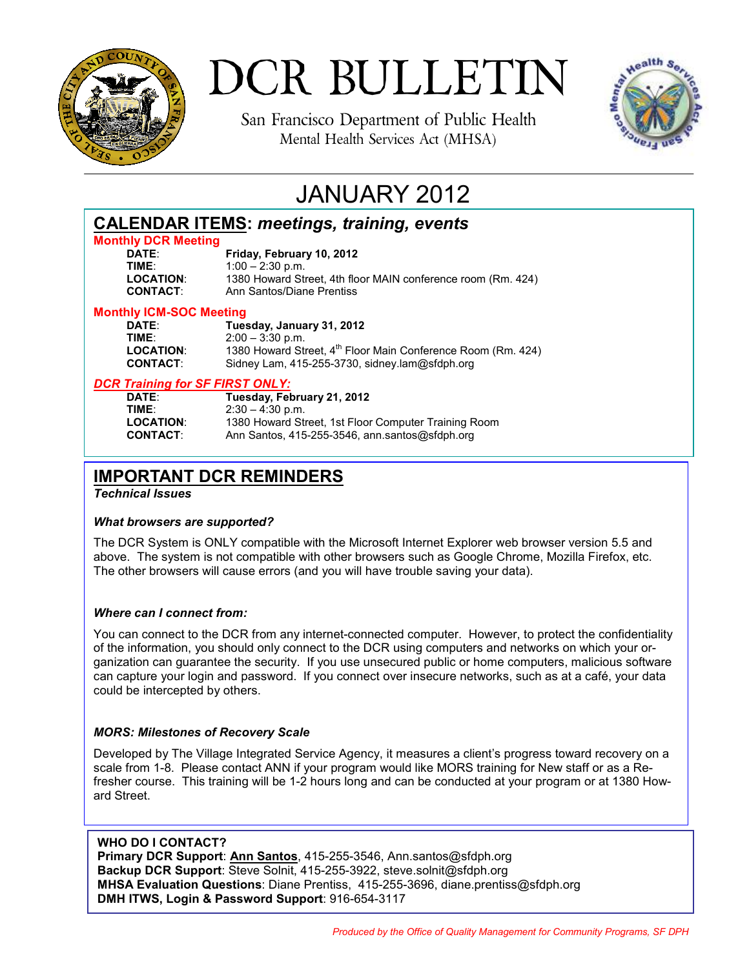

San Francisco Department of Public Health Mental Health Services Act (MHSA)



### JANUARY 2012

|                                 | <b>CALENDAR ITEMS: meetings, training, events</b>                        |
|---------------------------------|--------------------------------------------------------------------------|
| <b>Monthly DCR Meeting</b>      |                                                                          |
| <b>DATE:</b>                    | Friday, February 10, 2012                                                |
| TIME:                           | $1:00 - 2:30$ p.m.                                                       |
| <b>LOCATION:</b>                | 1380 Howard Street, 4th floor MAIN conference room (Rm. 424)             |
| <b>CONTACT:</b>                 | Ann Santos/Diane Prentiss                                                |
| <b>Monthly ICM-SOC Meeting</b>  |                                                                          |
| <b>DATE:</b>                    | Tuesday, January 31, 2012                                                |
| TIME:                           | $2:00 - 3:30$ p.m.                                                       |
| <b>LOCATION:</b>                | 1380 Howard Street, 4 <sup>th</sup> Floor Main Conference Room (Rm. 424) |
| <b>CONTACT:</b>                 | Sidney Lam, 415-255-3730, sidney.lam@sfdph.org                           |
| DCR Training for SF FIRST ONLY: |                                                                          |
| DATE:                           | Tuesday, February 21, 2012                                               |
| TIME:                           | $2:30 - 4:30$ p.m.                                                       |
| <b>LOCATION:</b>                | 1380 Howard Street, 1st Floor Computer Training Room                     |
| <b>CONTACT:</b>                 | Ann Santos, 415-255-3546, ann.santos@sfdph.org                           |

### **IMPORTANT DCR REMINDERS**

*Technical Issues* 

#### *What browsers are supported?*

The DCR System is ONLY compatible with the Microsoft Internet Explorer web browser version 5.5 and above. The system is not compatible with other browsers such as Google Chrome, Mozilla Firefox, etc. The other browsers will cause errors (and you will have trouble saving your data).

#### *Where can I connect from:*

You can connect to the DCR from any internet-connected computer. However, to protect the confidentiality of the information, you should only connect to the DCR using computers and networks on which your organization can guarantee the security. If you use unsecured public or home computers, malicious software can capture your login and password. If you connect over insecure networks, such as at a café, your data could be intercepted by others.

#### *MORS: Milestones of Recovery Scale*

Developed by The Village Integrated Service Agency, it measures a client's progress toward recovery on a scale from 1-8. Please contact ANN if your program would like MORS training for New staff or as a Refresher course. This training will be 1-2 hours long and can be conducted at your program or at 1380 Howard Street.

#### **WHO DO I CONTACT?**

**Primary DCR Support**: **Ann Santos**, 415-255-3546, Ann.santos@sfdph.org **Backup DCR Support**: Steve Solnit, 415-255-3922, steve.solnit@sfdph.org **MHSA Evaluation Questions**: Diane Prentiss, 415-255-3696, diane.prentiss@sfdph.org **DMH ITWS, Login & Password Support**: 916-654-3117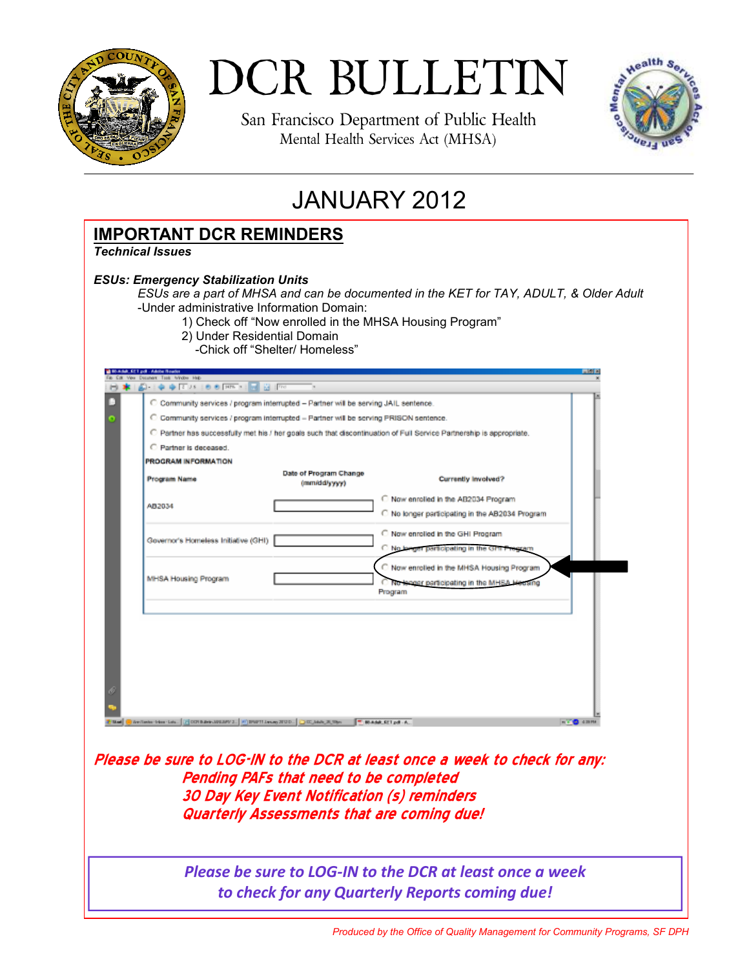

San Francisco Department of Public Health Mental Health Services Act (MHSA)



### JANUARY 2012

| <b>Technical Issues</b><br><b>ESUs: Emergency Stabilization Units</b><br>ESUs are a part of MHSA and can be documented in the KET for TAY, ADULT, & Older Adult<br>-Under administrative Information Domain:<br>1) Check off "Now enrolled in the MHSA Housing Program"<br>2) Under Residential Domain<br>-Chick off "Shelter/ Homeless"<br>$\mathbb{E}[\mathbf{A}]\cdot\mathbf{A}=\mathbf{A}[\mathbf{I}]\cdot\mathbf{A}$ . If $\mathbf{A}=\mathbf{A}[\mathbf{I}]\cdot\mathbf{A}$ , $\mathbf{A}=\mathbf{A}[\mathbf{I}]\cdot\mathbf{A}$<br>C Community services / program interrupted - Partner will be serving JAIL sentence.<br>C Community services / program interrupted - Partner will be serving PRISON sentence.<br>C Partner has successfully met his / her goals such that discontinuation of Full Service Partnership is appropriate.<br>C Partner is deceased.<br><b>PROGRAM INFORMATION</b><br>Date of Program Change<br>Program Name<br>Currently Involved?<br>(mm/dd/yyyy)<br>Mow enrolled in the AB2034 Program<br>AB2034<br>C No longer participating in the AB2034 Program<br>C Now enrolled in the GHI Program<br>Governor's Homeless Initiative (GHI)<br>No longer participating in the GPTF<br>C Now enrolled in the MHSA Housing Program<br>MHSA Housing Program<br>No lenger participating in the MHSA He<br>Program |
|-------------------------------------------------------------------------------------------------------------------------------------------------------------------------------------------------------------------------------------------------------------------------------------------------------------------------------------------------------------------------------------------------------------------------------------------------------------------------------------------------------------------------------------------------------------------------------------------------------------------------------------------------------------------------------------------------------------------------------------------------------------------------------------------------------------------------------------------------------------------------------------------------------------------------------------------------------------------------------------------------------------------------------------------------------------------------------------------------------------------------------------------------------------------------------------------------------------------------------------------------------------------------------------------------------------------------------------------|
|                                                                                                                                                                                                                                                                                                                                                                                                                                                                                                                                                                                                                                                                                                                                                                                                                                                                                                                                                                                                                                                                                                                                                                                                                                                                                                                                           |
|                                                                                                                                                                                                                                                                                                                                                                                                                                                                                                                                                                                                                                                                                                                                                                                                                                                                                                                                                                                                                                                                                                                                                                                                                                                                                                                                           |
|                                                                                                                                                                                                                                                                                                                                                                                                                                                                                                                                                                                                                                                                                                                                                                                                                                                                                                                                                                                                                                                                                                                                                                                                                                                                                                                                           |
|                                                                                                                                                                                                                                                                                                                                                                                                                                                                                                                                                                                                                                                                                                                                                                                                                                                                                                                                                                                                                                                                                                                                                                                                                                                                                                                                           |
|                                                                                                                                                                                                                                                                                                                                                                                                                                                                                                                                                                                                                                                                                                                                                                                                                                                                                                                                                                                                                                                                                                                                                                                                                                                                                                                                           |
|                                                                                                                                                                                                                                                                                                                                                                                                                                                                                                                                                                                                                                                                                                                                                                                                                                                                                                                                                                                                                                                                                                                                                                                                                                                                                                                                           |
|                                                                                                                                                                                                                                                                                                                                                                                                                                                                                                                                                                                                                                                                                                                                                                                                                                                                                                                                                                                                                                                                                                                                                                                                                                                                                                                                           |
|                                                                                                                                                                                                                                                                                                                                                                                                                                                                                                                                                                                                                                                                                                                                                                                                                                                                                                                                                                                                                                                                                                                                                                                                                                                                                                                                           |
|                                                                                                                                                                                                                                                                                                                                                                                                                                                                                                                                                                                                                                                                                                                                                                                                                                                                                                                                                                                                                                                                                                                                                                                                                                                                                                                                           |
|                                                                                                                                                                                                                                                                                                                                                                                                                                                                                                                                                                                                                                                                                                                                                                                                                                                                                                                                                                                                                                                                                                                                                                                                                                                                                                                                           |
|                                                                                                                                                                                                                                                                                                                                                                                                                                                                                                                                                                                                                                                                                                                                                                                                                                                                                                                                                                                                                                                                                                                                                                                                                                                                                                                                           |
|                                                                                                                                                                                                                                                                                                                                                                                                                                                                                                                                                                                                                                                                                                                                                                                                                                                                                                                                                                                                                                                                                                                                                                                                                                                                                                                                           |
|                                                                                                                                                                                                                                                                                                                                                                                                                                                                                                                                                                                                                                                                                                                                                                                                                                                                                                                                                                                                                                                                                                                                                                                                                                                                                                                                           |
|                                                                                                                                                                                                                                                                                                                                                                                                                                                                                                                                                                                                                                                                                                                                                                                                                                                                                                                                                                                                                                                                                                                                                                                                                                                                                                                                           |
| Archein Her Lin. Port has actually 1. Port Here: 2000. Dec.140, 2000.<br>T MAAR STIPE-A<br><b>HALL COMPA</b>                                                                                                                                                                                                                                                                                                                                                                                                                                                                                                                                                                                                                                                                                                                                                                                                                                                                                                                                                                                                                                                                                                                                                                                                                              |
| Please be sure to LOG-IN to the DCR at least once a week to check for any:<br><b>Pending PAFs that need to be completed</b><br>30 Day Key Event Notification (s) reminders<br>Quarterly Assessments that are coming due!                                                                                                                                                                                                                                                                                                                                                                                                                                                                                                                                                                                                                                                                                                                                                                                                                                                                                                                                                                                                                                                                                                                  |
| Please be sure to LOG-IN to the DCR at least once a week                                                                                                                                                                                                                                                                                                                                                                                                                                                                                                                                                                                                                                                                                                                                                                                                                                                                                                                                                                                                                                                                                                                                                                                                                                                                                  |
| to check for any Quarterly Reports coming due!                                                                                                                                                                                                                                                                                                                                                                                                                                                                                                                                                                                                                                                                                                                                                                                                                                                                                                                                                                                                                                                                                                                                                                                                                                                                                            |

*Produced by the Office of Quality Management for Community Programs, SF DPH*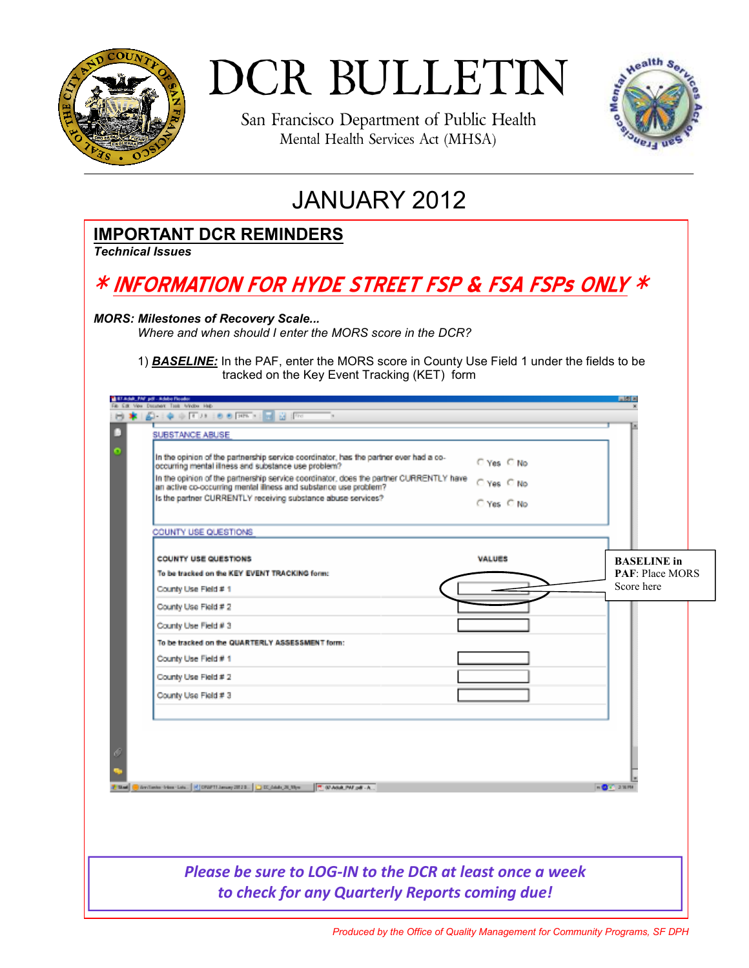

San Francisco Department of Public Health Mental Health Services Act (MHSA)



## JANUARY 2012

| Where and when should I enter the MORS score in the DCR?<br>1) <b>BASELINE:</b> In the PAF, enter the MORS score in County Use Field 1 under the fields to be<br>tracked on the Key Event Tracking (KET) form                                                                                                                                                              |                          |                                      |
|----------------------------------------------------------------------------------------------------------------------------------------------------------------------------------------------------------------------------------------------------------------------------------------------------------------------------------------------------------------------------|--------------------------|--------------------------------------|
| les Decuters: Test Window Help-                                                                                                                                                                                                                                                                                                                                            |                          |                                      |
|                                                                                                                                                                                                                                                                                                                                                                            |                          |                                      |
| SUBSTANCE ABUSE                                                                                                                                                                                                                                                                                                                                                            |                          |                                      |
| In the opinion of the partnership service coordinator, has the partner ever had a co-<br>occurring mental illness and substance use problem?<br>In the opinion of the partnership service coordinator, does the partner CURRENTLY have<br>an active co-occurring mental illness and substance use problem?<br>Is the partner CURRENTLY receiving substance abuse services? | ○ Yes ○ No<br>C Yes C No |                                      |
|                                                                                                                                                                                                                                                                                                                                                                            | C Yes C No               |                                      |
| COUNTY USE QUESTIONS                                                                                                                                                                                                                                                                                                                                                       |                          |                                      |
|                                                                                                                                                                                                                                                                                                                                                                            |                          |                                      |
| <b>COUNTY USE QUESTIONS</b>                                                                                                                                                                                                                                                                                                                                                | VALUES                   | <b>BASELINE</b> in                   |
| To be tracked on the KEY EVENT TRACKING form:                                                                                                                                                                                                                                                                                                                              |                          | <b>PAF: Place MORS</b><br>Score here |
| County Use Field # 1                                                                                                                                                                                                                                                                                                                                                       |                          |                                      |
| County Use Field # 2                                                                                                                                                                                                                                                                                                                                                       |                          |                                      |
| County Use Field # 3                                                                                                                                                                                                                                                                                                                                                       |                          |                                      |
| To be tracked on the QUARTERLY ASSESSMENT form:                                                                                                                                                                                                                                                                                                                            |                          |                                      |
| County Use Field # 1                                                                                                                                                                                                                                                                                                                                                       |                          |                                      |
| County Use Field # 2                                                                                                                                                                                                                                                                                                                                                       |                          |                                      |
| County Use Field # 3                                                                                                                                                                                                                                                                                                                                                       |                          |                                      |
|                                                                                                                                                                                                                                                                                                                                                                            |                          |                                      |
|                                                                                                                                                                                                                                                                                                                                                                            |                          |                                      |
|                                                                                                                                                                                                                                                                                                                                                                            |                          |                                      |
|                                                                                                                                                                                                                                                                                                                                                                            |                          |                                      |
|                                                                                                                                                                                                                                                                                                                                                                            |                          |                                      |

*Produced by the Office of Quality Management for Community Programs, SF DPH*